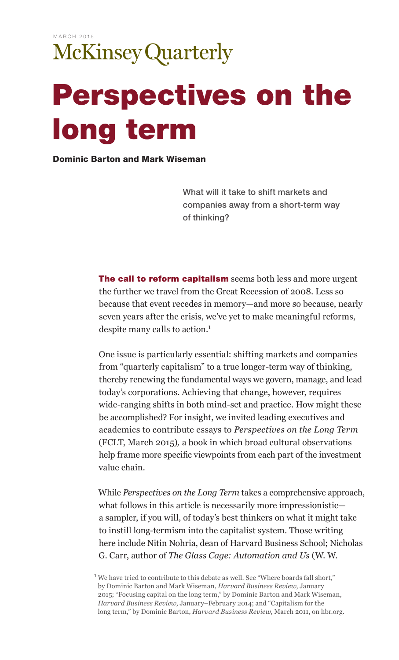## Perspectives on the long term

Dominic Barton and Mark Wiseman

What will it take to shift markets and companies away from a short-term way of thinking?

The call to reform capitalism seems both less and more urgent the further we travel from the Great Recession of 2008. Less so because that event recedes in memory—and more so because, nearly seven years after the crisis, we've yet to make meaningful reforms, despite many calls to action.1

One issue is particularly essential: shifting markets and companies from "quarterly capitalism" to a true longer-term way of thinking, thereby renewing the fundamental ways we govern, manage, and lead today's corporations. Achieving that change, however, requires wide-ranging shifts in both mind-set and practice. How might these be accomplished? For insight, we invited leading executives and academics to contribute essays to *Perspectives on the Long Term*  (FCLT, March 2015)*,* a book in which broad cultural observations help frame more specific viewpoints from each part of the investment value chain.

While *Perspectives on the Long Term* takes a comprehensive approach, what follows in this article is necessarily more impressionistic a sampler, if you will, of today's best thinkers on what it might take to instill long-termism into the capitalist system. Those writing here include Nitin Nohria, dean of Harvard Business School; Nicholas G. Carr, author of *The Glass Cage: Automation and Us* (W. W.

<sup>&</sup>lt;sup>1</sup> We have tried to contribute to this debate as well. See "Where boards fall short," by Dominic Barton and Mark Wiseman, *Harvard Business Review*, January 2015; "Focusing capital on the long term," by Dominic Barton and Mark Wiseman, *Harvard Business Review*, January–February 2014; and "Capitalism for the long term," by Dominic Barton, *Harvard Business Review*, March 2011, on hbr.org.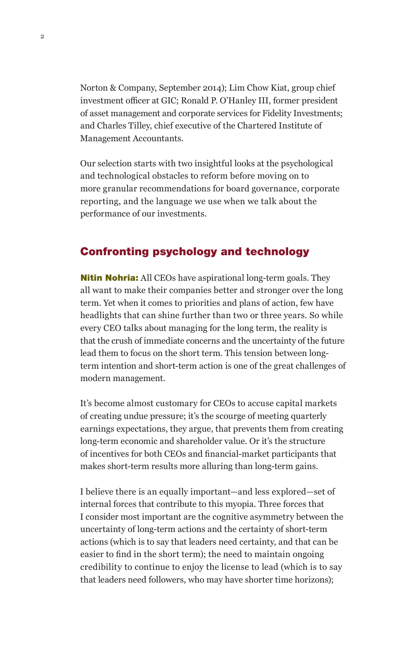Norton & Company, September 2014); Lim Chow Kiat, group chief investment officer at GIC; Ronald P. O'Hanley III, former president of asset management and corporate services for Fidelity Investments; and Charles Tilley, chief executive of the Chartered Institute of Management Accountants.

Our selection starts with two insightful looks at the psychological and technological obstacles to reform before moving on to more granular recommendations for board governance, corporate reporting, and the language we use when we talk about the performance of our investments.

## Confronting psychology and technology

**Nitin Nohria:** All CEOs have aspirational long-term goals. They all want to make their companies better and stronger over the long term. Yet when it comes to priorities and plans of action, few have headlights that can shine further than two or three years. So while every CEO talks about managing for the long term, the reality is that the crush of immediate concerns and the uncertainty of the future lead them to focus on the short term. This tension between longterm intention and short-term action is one of the great challenges of modern management.

It's become almost customary for CEOs to accuse capital markets of creating undue pressure; it's the scourge of meeting quarterly earnings expectations, they argue, that prevents them from creating long-term economic and shareholder value. Or it's the structure of incentives for both CEOs and financial-market participants that makes short-term results more alluring than long-term gains.

I believe there is an equally important—and less explored—set of internal forces that contribute to this myopia. Three forces that I consider most important are the cognitive asymmetry between the uncertainty of long-term actions and the certainty of short-term actions (which is to say that leaders need certainty, and that can be easier to find in the short term); the need to maintain ongoing credibility to continue to enjoy the license to lead (which is to say that leaders need followers, who may have shorter time horizons);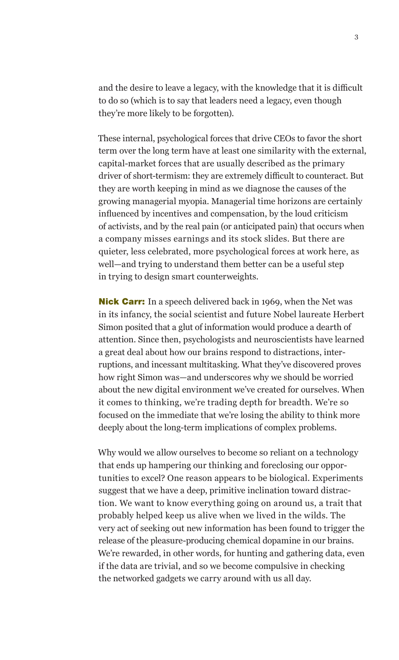and the desire to leave a legacy, with the knowledge that it is difficult to do so (which is to say that leaders need a legacy, even though they're more likely to be forgotten).

These internal, psychological forces that drive CEOs to favor the short term over the long term have at least one similarity with the external, capital-market forces that are usually described as the primary driver of short-termism: they are extremely difficult to counteract. But they are worth keeping in mind as we diagnose the causes of the growing managerial myopia. Managerial time horizons are certainly influenced by incentives and compensation, by the loud criticism of activists, and by the real pain (or anticipated pain) that occurs when a company misses earnings and its stock slides. But there are quieter, less celebrated, more psychological forces at work here, as well—and trying to understand them better can be a useful step in trying to design smart counterweights.

**Nick Carr:** In a speech delivered back in 1969, when the Net was in its infancy, the social scientist and future Nobel laureate Herbert Simon posited that a glut of information would produce a dearth of attention. Since then, psychologists and neuroscientists have learned a great deal about how our brains respond to distractions, interruptions, and incessant multitasking. What they've discovered proves how right Simon was—and underscores why we should be worried about the new digital environment we've created for ourselves. When it comes to thinking, we're trading depth for breadth. We're so focused on the immediate that we're losing the ability to think more deeply about the long-term implications of complex problems.

Why would we allow ourselves to become so reliant on a technology that ends up hampering our thinking and foreclosing our opportunities to excel? One reason appears to be biological. Experiments suggest that we have a deep, primitive inclination toward distraction. We want to know everything going on around us, a trait that probably helped keep us alive when we lived in the wilds. The very act of seeking out new information has been found to trigger the release of the pleasure-producing chemical dopamine in our brains. We're rewarded, in other words, for hunting and gathering data, even if the data are trivial, and so we become compulsive in checking the networked gadgets we carry around with us all day.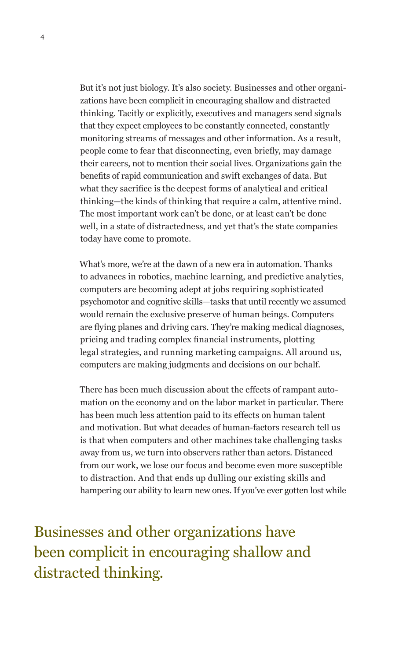But it's not just biology. It's also society. Businesses and other organizations have been complicit in encouraging shallow and distracted thinking. Tacitly or explicitly, executives and managers send signals that they expect employees to be constantly connected, constantly monitoring streams of messages and other information. As a result, people come to fear that disconnecting, even briefly, may damage their careers, not to mention their social lives. Organizations gain the benefits of rapid communication and swift exchanges of data. But what they sacrifice is the deepest forms of analytical and critical thinking—the kinds of thinking that require a calm, attentive mind. The most important work can't be done, or at least can't be done well, in a state of distractedness, and yet that's the state companies today have come to promote.

What's more, we're at the dawn of a new era in automation. Thanks to advances in robotics, machine learning, and predictive analytics, computers are becoming adept at jobs requiring sophisticated psychomotor and cognitive skills—tasks that until recently we assumed would remain the exclusive preserve of human beings. Computers are flying planes and driving cars. They're making medical diagnoses, pricing and trading complex financial instruments, plotting legal strategies, and running marketing campaigns. All around us, computers are making judgments and decisions on our behalf.

There has been much discussion about the effects of rampant automation on the economy and on the labor market in particular. There has been much less attention paid to its effects on human talent and motivation. But what decades of human-factors research tell us is that when computers and other machines take challenging tasks away from us, we turn into observers rather than actors. Distanced from our work, we lose our focus and become even more susceptible to distraction. And that ends up dulling our existing skills and hampering our ability to learn new ones. If you've ever gotten lost while

Businesses and other organizations have been complicit in encouraging shallow and distracted thinking.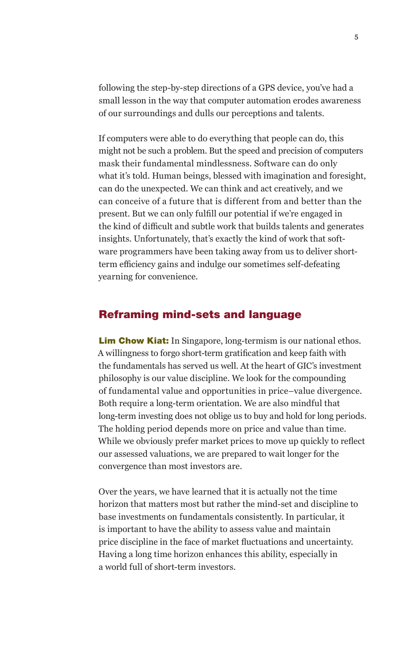following the step-by-step directions of a GPS device, you've had a small lesson in the way that computer automation erodes awareness of our surroundings and dulls our perceptions and talents.

If computers were able to do everything that people can do, this might not be such a problem. But the speed and precision of computers mask their fundamental mindlessness. Software can do only what it's told. Human beings, blessed with imagination and foresight, can do the unexpected. We can think and act creatively, and we can conceive of a future that is different from and better than the present. But we can only fulfill our potential if we're engaged in the kind of difficult and subtle work that builds talents and generates insights. Unfortunately, that's exactly the kind of work that software programmers have been taking away from us to deliver shortterm efficiency gains and indulge our sometimes self-defeating yearning for convenience.

## Reframing mind-sets and language

**Lim Chow Kiat:** In Singapore, long-termism is our national ethos. A willingness to forgo short-term gratification and keep faith with the fundamentals has served us well. At the heart of GIC's investment philosophy is our value discipline. We look for the compounding of fundamental value and opportunities in price–value divergence. Both require a long-term orientation. We are also mindful that long-term investing does not oblige us to buy and hold for long periods. The holding period depends more on price and value than time. While we obviously prefer market prices to move up quickly to reflect our assessed valuations, we are prepared to wait longer for the convergence than most investors are.

Over the years, we have learned that it is actually not the time horizon that matters most but rather the mind-set and discipline to base investments on fundamentals consistently. In particular, it is important to have the ability to assess value and maintain price discipline in the face of market fluctuations and uncertainty. Having a long time horizon enhances this ability, especially in a world full of short-term investors.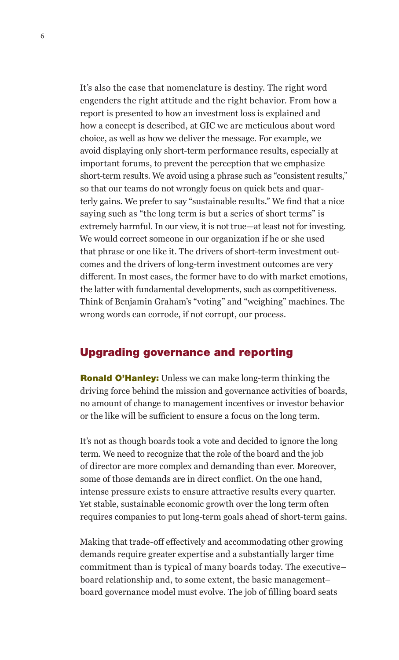It's also the case that nomenclature is destiny. The right word engenders the right attitude and the right behavior. From how a report is presented to how an investment loss is explained and how a concept is described, at GIC we are meticulous about word choice, as well as how we deliver the message. For example, we avoid displaying only short-term performance results, especially at important forums, to prevent the perception that we emphasize short-term results. We avoid using a phrase such as "consistent results," so that our teams do not wrongly focus on quick bets and quarterly gains. We prefer to say "sustainable results." We find that a nice saying such as "the long term is but a series of short terms" is extremely harmful. In our view, it is not true—at least not for investing. We would correct someone in our organization if he or she used that phrase or one like it. The drivers of short-term investment outcomes and the drivers of long-term investment outcomes are very different. In most cases, the former have to do with market emotions, the latter with fundamental developments, such as competitiveness. Think of Benjamin Graham's "voting" and "weighing" machines. The wrong words can corrode, if not corrupt, our process.

## Upgrading governance and reporting

Ronald O'Hanley: Unless we can make long-term thinking the driving force behind the mission and governance activities of boards, no amount of change to management incentives or investor behavior or the like will be sufficient to ensure a focus on the long term.

It's not as though boards took a vote and decided to ignore the long term. We need to recognize that the role of the board and the job of director are more complex and demanding than ever. Moreover, some of those demands are in direct conflict. On the one hand, intense pressure exists to ensure attractive results every quarter. Yet stable, sustainable economic growth over the long term often requires companies to put long-term goals ahead of short-term gains.

Making that trade-off effectively and accommodating other growing demands require greater expertise and a substantially larger time commitment than is typical of many boards today. The executive– board relationship and, to some extent, the basic management– board governance model must evolve. The job of filling board seats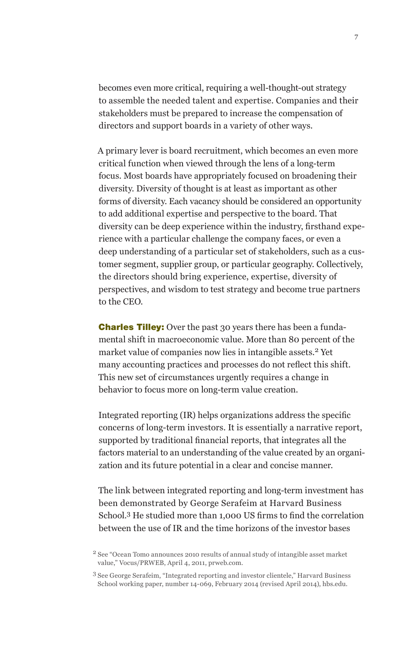becomes even more critical, requiring a well-thought-out strategy to assemble the needed talent and expertise. Companies and their stakeholders must be prepared to increase the compensation of directors and support boards in a variety of other ways.

A primary lever is board recruitment, which becomes an even more critical function when viewed through the lens of a long-term focus. Most boards have appropriately focused on broadening their diversity. Diversity of thought is at least as important as other forms of diversity. Each vacancy should be considered an opportunity to add additional expertise and perspective to the board. That diversity can be deep experience within the industry, firsthand experience with a particular challenge the company faces, or even a deep understanding of a particular set of stakeholders, such as a customer segment, supplier group, or particular geography. Collectively, the directors should bring experience, expertise, diversity of perspectives, and wisdom to test strategy and become true partners to the CEO.

**Charles Tilley:** Over the past 30 years there has been a fundamental shift in macroeconomic value. More than 80 percent of the market value of companies now lies in intangible assets.<sup>2</sup> Yet many accounting practices and processes do not reflect this shift. This new set of circumstances urgently requires a change in behavior to focus more on long-term value creation.

Integrated reporting (IR) helps organizations address the specific concerns of long-term investors. It is essentially a narrative report, supported by traditional financial reports, that integrates all the factors material to an understanding of the value created by an organization and its future potential in a clear and concise manner.

The link between integrated reporting and long-term investment has been demonstrated by George Serafeim at Harvard Business School.3 He studied more than 1,000 US firms to find the correlation between the use of IR and the time horizons of the investor bases

<sup>2</sup> See "Ocean Tomo announces 2010 results of annual study of intangible asset market value," Vocus/PRWEB, April 4, 2011, prweb.com.

<sup>3</sup>See George Serafeim, "Integrated reporting and investor clientele," Harvard Business School working paper, number 14-069, February 2014 (revised April 2014), hbs.edu.